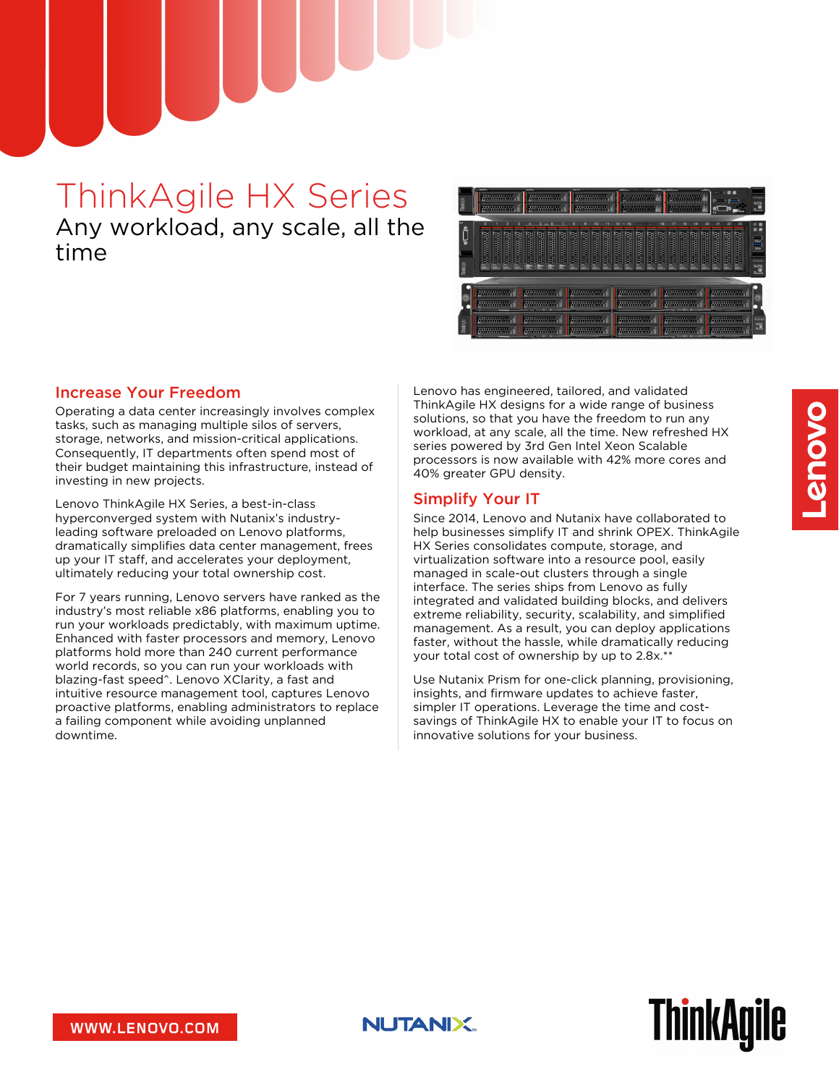# ThinkAgile HX Series Any workload, any scale, all the time



#### Increase Your Freedom

Operating a data center increasingly involves complex tasks, such as managing multiple silos of servers, storage, networks, and mission-critical applications. Consequently, IT departments often spend most of their budget maintaining this infrastructure, instead of investing in new projects.

Lenovo ThinkAgile HX Series, a best-in-class hyperconverged system with Nutanix's industryleading software preloaded on Lenovo platforms, dramatically simplifies data center management, frees up your IT staff, and accelerates your deployment, ultimately reducing your total ownership cost.

For 7 years running, Lenovo servers have ranked as the industry's most reliable x86 platforms, enabling you to run your workloads predictably, with maximum uptime. Enhanced with faster processors and memory, Lenovo platforms hold more than 240 current performance world records, so you can run your workloads with blazing-fast speed^. Lenovo XClarity, a fast and intuitive resource management tool, captures Lenovo proactive platforms, enabling administrators to replace a failing component while avoiding unplanned downtime.

Lenovo has engineered, tailored, and validated ThinkAgile HX designs for a wide range of business solutions, so that you have the freedom to run any workload, at any scale, all the time. New refreshed HX series powered by 3rd Gen Intel Xeon Scalable processors is now available with 42% more cores and 40% greater GPU density.

#### Simplify Your IT

Since 2014, Lenovo and Nutanix have collaborated to help businesses simplify IT and shrink OPEX. ThinkAgile HX Series consolidates compute, storage, and virtualization software into a resource pool, easily managed in scale-out clusters through a single interface. The series ships from Lenovo as fully integrated and validated building blocks, and delivers extreme reliability, security, scalability, and simplified management. As a result, you can deploy applications faster, without the hassle, while dramatically reducing your total cost of ownership by up to 2.8x.\*\*

Use Nutanix Prism for one-click planning, provisioning, insights, and firmware updates to achieve faster, simpler IT operations. Leverage the time and costsavings of ThinkAgile HX to enable your IT to focus on innovative solutions for your business.

**ThinkAgile** 

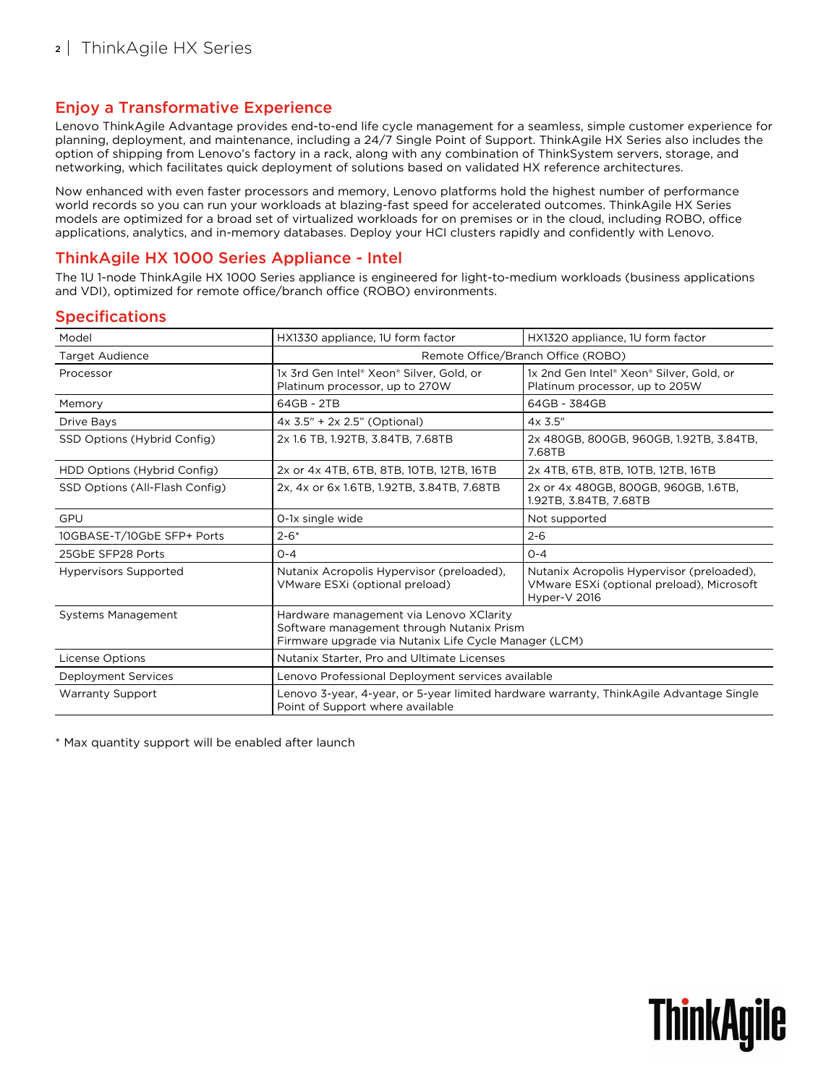### Enjoy a Transformative Experience

Lenovo ThinkAgile Advantage provides end-to-end life cycle management for a seamless, simple customer experience for planning, deployment, and maintenance, including a 24/7 Single Point of Support. ThinkAgile HX Series also includes the option of shipping from Lenovo's factory in a rack, along with any combination of ThinkSystem servers, storage, and networking, which facilitates quick deployment of solutions based on validated HX reference architectures.

Now enhanced with even faster processors and memory, Lenovo platforms hold the highest number of performance world records so you can run your workloads at blazing-fast speed for accelerated outcomes. ThinkAgile HX Series models are optimized for a broad set of virtualized workloads for on premises or in the cloud, including ROBO, office applications, analytics, and in-memory databases. Deploy your HCI clusters rapidly and confidently with Lenovo.

### ThinkAgile HX 1000 Series Appliance - Intel

The 1U 1-node ThinkAgile HX 1000 Series appliance is engineered for light-to-medium workloads (business applications and VDI), optimized for remote office/branch office (ROBO) environments.

#### Specifications

| Model                          | HX1330 appliance, 1U form factor<br>HX1320 appliance, 1U form factor                                                                          |                                                                                                        |  |
|--------------------------------|-----------------------------------------------------------------------------------------------------------------------------------------------|--------------------------------------------------------------------------------------------------------|--|
| Target Audience                | Remote Office/Branch Office (ROBO)                                                                                                            |                                                                                                        |  |
| Processor                      | 1x 3rd Gen Intel® Xeon® Silver, Gold, or<br>Platinum processor, up to 270W                                                                    | 1x 2nd Gen Intel® Xeon® Silver, Gold, or<br>Platinum processor, up to 205W                             |  |
| Memory                         | 64GB - 2TB                                                                                                                                    | 64GB - 384GB                                                                                           |  |
| Drive Bays                     | $4x$ 3.5" + 2x 2.5" (Optional)                                                                                                                | $4x$ 3.5"                                                                                              |  |
| SSD Options (Hybrid Config)    | 2x 1.6 TB, 1.92TB, 3.84TB, 7.68TB                                                                                                             | 2x 480GB, 800GB, 960GB, 1.92TB, 3.84TB,<br>7.68TB                                                      |  |
| HDD Options (Hybrid Config)    | 2x or 4x 4TB, 6TB, 8TB, 10TB, 12TB, 16TB                                                                                                      | 2x 4TB, 6TB, 8TB, 10TB, 12TB, 16TB                                                                     |  |
| SSD Options (All-Flash Config) | 2x, 4x or 6x 1.6TB, 1.92TB, 3.84TB, 7.68TB                                                                                                    | 2x or 4x 480GB, 800GB, 960GB, 1.6TB,<br>1.92TB, 3.84TB, 7.68TB                                         |  |
| GPU                            | 0-1x single wide                                                                                                                              | Not supported                                                                                          |  |
| 10GBASE-T/10GbE SFP+ Ports     | $2 - 6*$                                                                                                                                      | $2 - 6$                                                                                                |  |
| 25GbE SFP28 Ports              | $O - 4$                                                                                                                                       | $O - 4$                                                                                                |  |
| <b>Hypervisors Supported</b>   | Nutanix Acropolis Hypervisor (preloaded),<br>VMware ESXi (optional preload)                                                                   | Nutanix Acropolis Hypervisor (preloaded),<br>VMware ESXi (optional preload), Microsoft<br>Hyper-V 2016 |  |
| <b>Systems Management</b>      | Hardware management via Lenovo XClarity<br>Software management through Nutanix Prism<br>Firmware upgrade via Nutanix Life Cycle Manager (LCM) |                                                                                                        |  |
| <b>License Options</b>         | Nutanix Starter, Pro and Ultimate Licenses                                                                                                    |                                                                                                        |  |
| Deployment Services            | Lenovo Professional Deployment services available                                                                                             |                                                                                                        |  |
| <b>Warranty Support</b>        | Lenovo 3-year, 4-year, or 5-year limited hardware warranty, ThinkAgile Advantage Single<br>Point of Support where available                   |                                                                                                        |  |

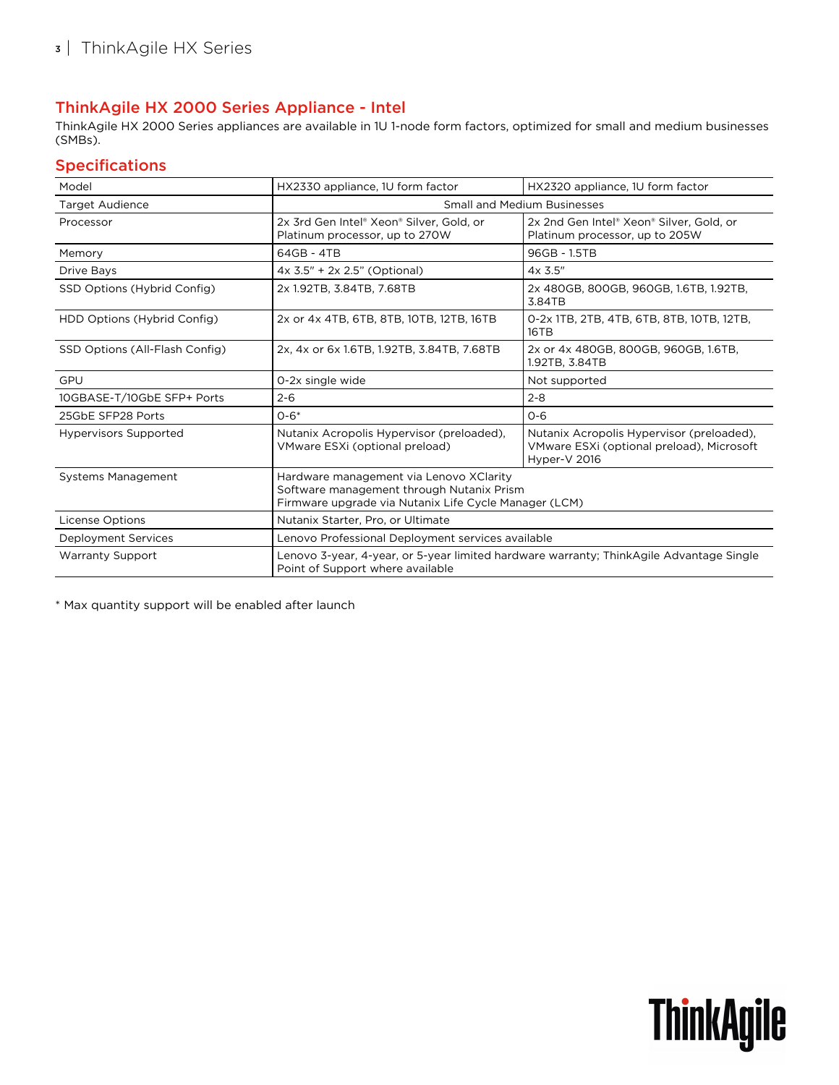## ThinkAgile HX 2000 Series Appliance - Intel

ThinkAgile HX 2000 Series appliances are available in 1U 1-node form factors, optimized for small and medium businesses (SMBs).

### Specifications

| Model                          | HX2330 appliance, 1U form factor                                                                                                              | HX2320 appliance, 1U form factor                                                                       |  |
|--------------------------------|-----------------------------------------------------------------------------------------------------------------------------------------------|--------------------------------------------------------------------------------------------------------|--|
| <b>Target Audience</b>         | <b>Small and Medium Businesses</b>                                                                                                            |                                                                                                        |  |
| Processor                      | 2x 3rd Gen Intel® Xeon® Silver, Gold, or<br>Platinum processor, up to 270W                                                                    | 2x 2nd Gen Intel® Xeon® Silver, Gold, or<br>Platinum processor, up to 205W                             |  |
| Memory                         | 64GB - 4TB                                                                                                                                    | 96GB - 1.5TB                                                                                           |  |
| <b>Drive Bays</b>              | 4x 3.5" + 2x 2.5" (Optional)                                                                                                                  | $4x$ 3.5"                                                                                              |  |
| SSD Options (Hybrid Config)    | 2x 1.92TB, 3.84TB, 7.68TB                                                                                                                     | 2x 480GB, 800GB, 960GB, 1.6TB, 1.92TB,<br>3.84TB                                                       |  |
| HDD Options (Hybrid Config)    | 2x or 4x 4TB, 6TB, 8TB, 10TB, 12TB, 16TB                                                                                                      | 0-2x 1TB, 2TB, 4TB, 6TB, 8TB, 10TB, 12TB,<br>16TB                                                      |  |
| SSD Options (All-Flash Config) | 2x, 4x or 6x 1.6TB, 1.92TB, 3.84TB, 7.68TB                                                                                                    | 2x or 4x 480GB, 800GB, 960GB, 1.6TB,<br>1.92TB, 3.84TB                                                 |  |
| GPU                            | 0-2x single wide                                                                                                                              | Not supported                                                                                          |  |
| 10GBASE-T/10GbE SFP+ Ports     | $2 - 6$                                                                                                                                       | $2 - 8$                                                                                                |  |
| 25GbE SFP28 Ports              | $0 - 6*$                                                                                                                                      | $O - 6$                                                                                                |  |
| <b>Hypervisors Supported</b>   | Nutanix Acropolis Hypervisor (preloaded),<br>VMware ESXi (optional preload)                                                                   | Nutanix Acropolis Hypervisor (preloaded),<br>VMware ESXi (optional preload), Microsoft<br>Hyper-V 2016 |  |
| <b>Systems Management</b>      | Hardware management via Lenovo XClarity<br>Software management through Nutanix Prism<br>Firmware upgrade via Nutanix Life Cycle Manager (LCM) |                                                                                                        |  |
| <b>License Options</b>         | Nutanix Starter, Pro, or Ultimate                                                                                                             |                                                                                                        |  |
| Deployment Services            | Lenovo Professional Deployment services available                                                                                             |                                                                                                        |  |
| <b>Warranty Support</b>        | Lenovo 3-year, 4-year, or 5-year limited hardware warranty; ThinkAgile Advantage Single<br>Point of Support where available                   |                                                                                                        |  |

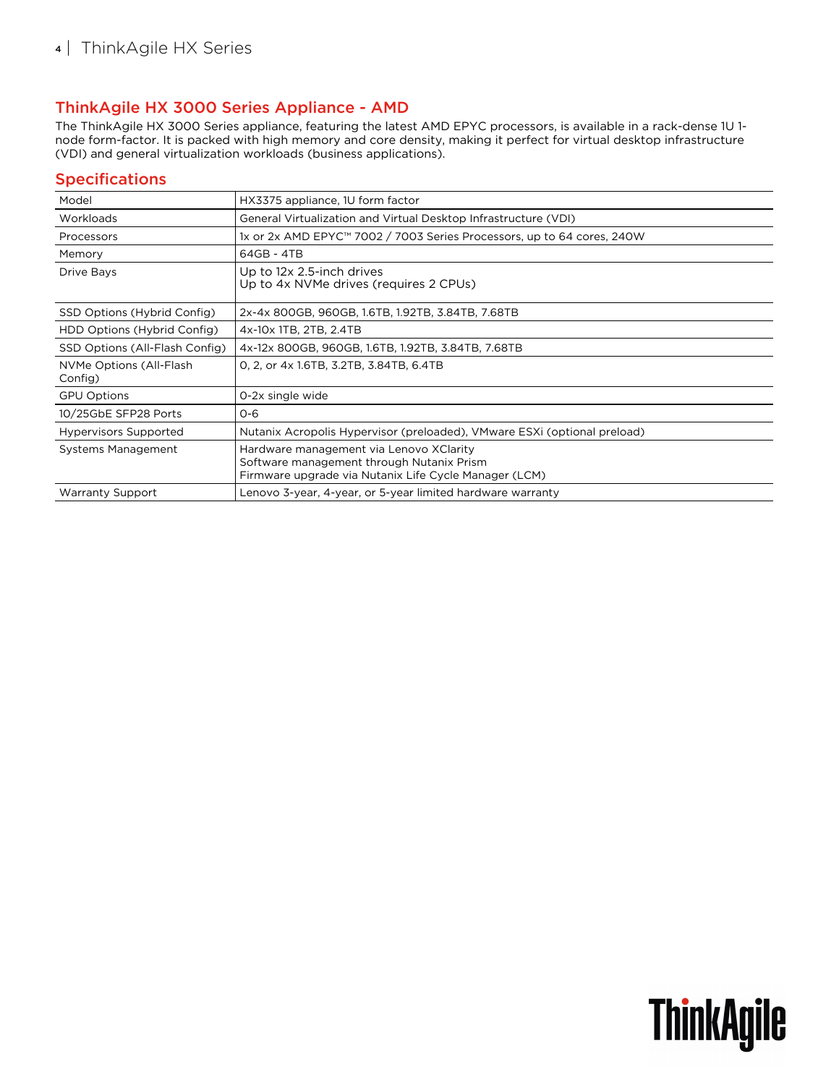### ThinkAgile HX 3000 Series Appliance - AMD

The ThinkAgile HX 3000 Series appliance, featuring the latest AMD EPYC processors, is available in a rack-dense 1U 1 node form-factor. It is packed with high memory and core density, making it perfect for virtual desktop infrastructure (VDI) and general virtualization workloads (business applications).

### Specifications

| Model                              | HX3375 appliance, 1U form factor                                                                                                              |
|------------------------------------|-----------------------------------------------------------------------------------------------------------------------------------------------|
| Workloads                          | General Virtualization and Virtual Desktop Infrastructure (VDI)                                                                               |
| Processors                         | 1x or 2x AMD EPYC™ 7002 / 7003 Series Processors, up to 64 cores, 240W                                                                        |
| Memory                             | 64GB - 4TB                                                                                                                                    |
| Drive Bays                         | Up to 12x 2.5-inch drives<br>Up to 4x NVMe drives (requires 2 CPUs)                                                                           |
| SSD Options (Hybrid Config)        | 2x-4x 800GB, 960GB, 1.6TB, 1.92TB, 3.84TB, 7.68TB                                                                                             |
| HDD Options (Hybrid Config)        | 4x-10x 1TB, 2TB, 2.4TB                                                                                                                        |
| SSD Options (All-Flash Config)     | 4x-12x 800GB, 960GB, 1.6TB, 1.92TB, 3.84TB, 7.68TB                                                                                            |
| NVMe Options (All-Flash<br>Config) | 0, 2, or 4x 1.6TB, 3.2TB, 3.84TB, 6.4TB                                                                                                       |
| <b>GPU Options</b>                 | 0-2x single wide                                                                                                                              |
| 10/25GbE SFP28 Ports               | $O - 6$                                                                                                                                       |
| <b>Hypervisors Supported</b>       | Nutanix Acropolis Hypervisor (preloaded), VMware ESXi (optional preload)                                                                      |
| Systems Management                 | Hardware management via Lenovo XClarity<br>Software management through Nutanix Prism<br>Firmware upgrade via Nutanix Life Cycle Manager (LCM) |
| <b>Warranty Support</b>            | Lenovo 3-year, 4-year, or 5-year limited hardware warranty                                                                                    |

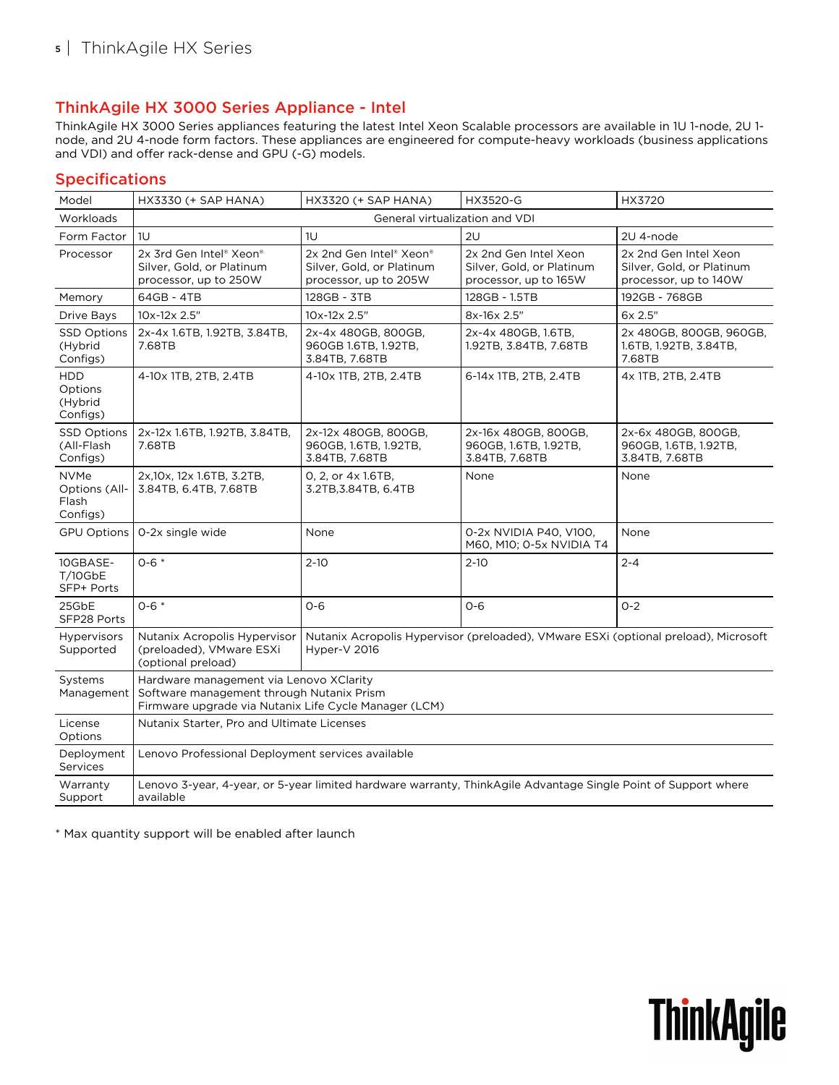### ThinkAgile HX 3000 Series Appliance - Intel

ThinkAgile HX 3000 Series appliances featuring the latest Intel Xeon Scalable processors are available in 1U 1-node, 2U 1 node, and 2U 4-node form factors. These appliances are engineered for compute-heavy workloads (business applications and VDI) and offer rack-dense and GPU (-G) models.

### Specifications

| Model                                                    | HX3330 (+ SAP HANA)                                                                                                                           | <b>HX3320 (+ SAP HANA)</b>                                                                          | HX3520-G                                                                    | HX3720                                                                      |
|----------------------------------------------------------|-----------------------------------------------------------------------------------------------------------------------------------------------|-----------------------------------------------------------------------------------------------------|-----------------------------------------------------------------------------|-----------------------------------------------------------------------------|
| Workloads                                                |                                                                                                                                               | General virtualization and VDI                                                                      |                                                                             |                                                                             |
| Form Factor                                              | 1U                                                                                                                                            | 1U                                                                                                  | 2U                                                                          | 2U 4-node                                                                   |
| Processor                                                | 2x 3rd Gen Intel® Xeon®<br>Silver, Gold, or Platinum<br>processor, up to 250W                                                                 | 2x 2nd Gen Intel® Xeon®<br>Silver, Gold, or Platinum<br>processor, up to 205W                       | 2x 2nd Gen Intel Xeon<br>Silver, Gold, or Platinum<br>processor, up to 165W | 2x 2nd Gen Intel Xeon<br>Silver, Gold, or Platinum<br>processor, up to 140W |
| Memory                                                   | 64GB - 4TB                                                                                                                                    | 128GB - 3TB                                                                                         | 128GB - 1.5TB                                                               | 192GB - 768GB                                                               |
| Drive Bays                                               | 10x-12x 2.5"                                                                                                                                  | 10x-12x 2.5"                                                                                        | 8x-16x 2.5"                                                                 | 6x 2.5"                                                                     |
| <b>SSD Options</b><br>(Hybrid<br>Configs)                | 2x-4x 1.6TB, 1.92TB, 3.84TB,<br>7.68TB                                                                                                        | 2x-4x 480GB, 800GB,<br>960GB 1.6TB, 1.92TB,<br>3.84TB, 7.68TB                                       | 2x-4x 480GB, 1.6TB,<br>1.92TB, 3.84TB, 7.68TB                               | 2x 480GB, 800GB, 960GB,<br>1.6TB, 1.92TB, 3.84TB,<br>7.68TB                 |
| <b>HDD</b><br>Options<br>(Hybrid<br>Configs)             | 4-10x 1TB, 2TB, 2.4TB                                                                                                                         | 4-10x 1TB, 2TB, 2.4TB                                                                               | 6-14x 1TB, 2TB, 2.4TB                                                       | 4x 1TB, 2TB, 2.4TB                                                          |
| <b>SSD Options</b><br>(All-Flash<br>Configs)             | 2x-12x 1.6TB, 1.92TB, 3.84TB,<br>7.68TB                                                                                                       | 2x-12x 480GB, 800GB,<br>960GB, 1.6TB, 1.92TB,<br>3.84TB, 7.68TB                                     | 2x-16x 480GB, 800GB,<br>960GB, 1.6TB, 1.92TB,<br>3.84TB, 7.68TB             | 2x-6x 480GB, 800GB,<br>960GB, 1.6TB, 1.92TB,<br>3.84TB, 7.68TB              |
| <b>NVMe</b><br><b>Options (All-</b><br>Flash<br>Configs) | 2x, 10x, 12x 1.6TB, 3.2TB,<br>3.84TB, 6.4TB, 7.68TB                                                                                           | 0, 2, or 4x 1.6TB,<br>3.2TB, 3.84TB, 6.4TB                                                          | None                                                                        | None                                                                        |
| <b>GPU Options</b>                                       | 0-2x single wide                                                                                                                              | None                                                                                                | 0-2x NVIDIA P40, V100,<br>M60, M10; 0-5x NVIDIA T4                          | None                                                                        |
| 10GBASE-<br>T/10GbE<br>SFP+ Ports                        | $0 - 6 *$                                                                                                                                     | $2 - 10$                                                                                            | $2 - 10$                                                                    | $2 - 4$                                                                     |
| 25GbE<br>SFP28 Ports                                     | $0 - 6 *$                                                                                                                                     | $O - 6$                                                                                             | $O - 6$                                                                     | $O - 2$                                                                     |
| <b>Hypervisors</b><br>Supported                          | Nutanix Acropolis Hypervisor<br>(preloaded), VMware ESXi<br>(optional preload)                                                                | Nutanix Acropolis Hypervisor (preloaded), VMware ESXi (optional preload), Microsoft<br>Hyper-V 2016 |                                                                             |                                                                             |
| Systems<br>Management                                    | Hardware management via Lenovo XClarity<br>Software management through Nutanix Prism<br>Firmware upgrade via Nutanix Life Cycle Manager (LCM) |                                                                                                     |                                                                             |                                                                             |
| License<br>Options                                       | Nutanix Starter, Pro and Ultimate Licenses                                                                                                    |                                                                                                     |                                                                             |                                                                             |
| Deployment<br>Services                                   | Lenovo Professional Deployment services available                                                                                             |                                                                                                     |                                                                             |                                                                             |
| Warranty<br>Support                                      | Lenovo 3-year, 4-year, or 5-year limited hardware warranty, ThinkAgile Advantage Single Point of Support where<br>available                   |                                                                                                     |                                                                             |                                                                             |

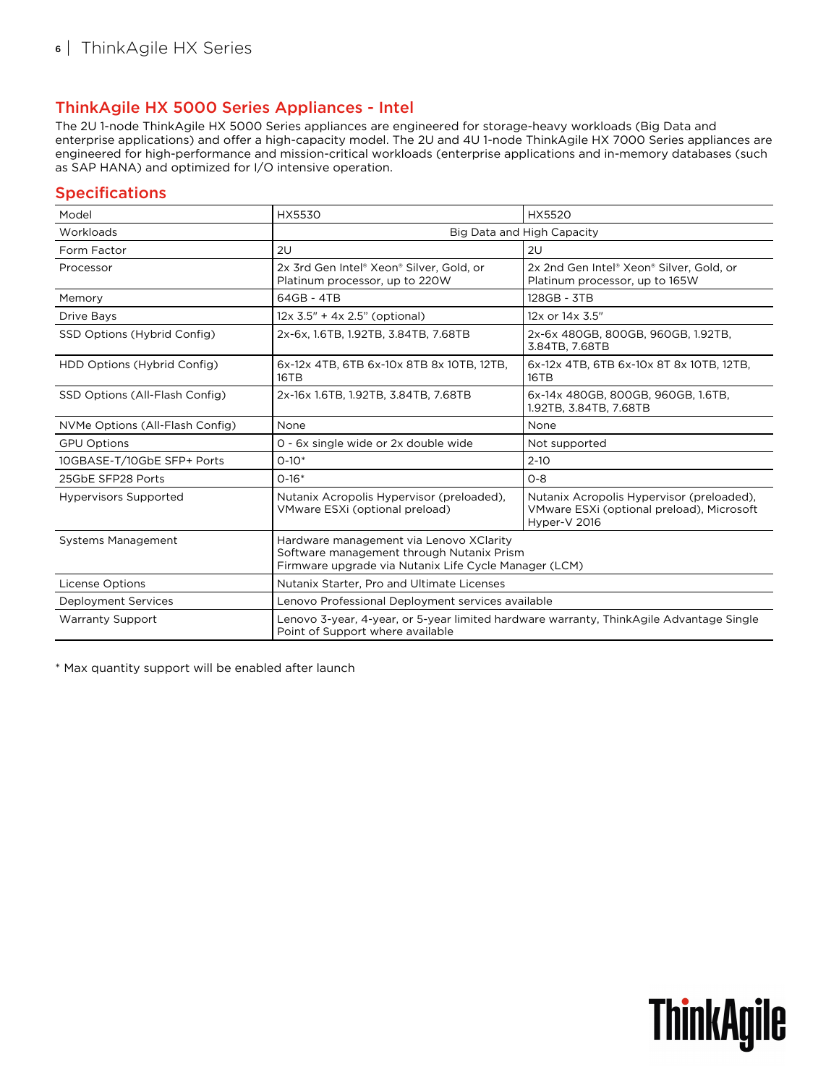### ThinkAgile HX 5000 Series Appliances - Intel

The 2U 1-node ThinkAgile HX 5000 Series appliances are engineered for storage-heavy workloads (Big Data and enterprise applications) and offer a high-capacity model. The 2U and 4U 1-node ThinkAgile HX 7000 Series appliances are engineered for high-performance and mission-critical workloads (enterprise applications and in-memory databases (such as SAP HANA) and optimized for I/O intensive operation.

### **Specifications**

| Model                           | <b>HX5530</b>                                                                                                                                 | <b>HX5520</b>                                                                                          |  |
|---------------------------------|-----------------------------------------------------------------------------------------------------------------------------------------------|--------------------------------------------------------------------------------------------------------|--|
| Workloads                       | Big Data and High Capacity                                                                                                                    |                                                                                                        |  |
| Form Factor                     | 2U                                                                                                                                            | 2U                                                                                                     |  |
| Processor                       | 2x 3rd Gen Intel® Xeon® Silver, Gold, or<br>Platinum processor, up to 220W                                                                    | 2x 2nd Gen Intel® Xeon® Silver, Gold, or<br>Platinum processor, up to 165W                             |  |
| Memory                          | 64GB - 4TB                                                                                                                                    | 128GB - 3TB                                                                                            |  |
| Drive Bays                      | $12x$ 3.5" + 4x 2.5" (optional)                                                                                                               | 12x or 14x 3.5"                                                                                        |  |
| SSD Options (Hybrid Config)     | 2x-6x, 1.6TB, 1.92TB, 3.84TB, 7.68TB                                                                                                          | 2x-6x 480GB, 800GB, 960GB, 1.92TB,<br>3.84TB, 7.68TB                                                   |  |
| HDD Options (Hybrid Config)     | 6x-12x 4TB, 6TB 6x-10x 8TB 8x 10TB, 12TB,<br>16TB                                                                                             | 6x-12x 4TB, 6TB 6x-10x 8T 8x 10TB, 12TB,<br>16TB                                                       |  |
| SSD Options (All-Flash Config)  | 2x-16x 1.6TB, 1.92TB, 3.84TB, 7.68TB                                                                                                          | 6x-14x 480GB, 800GB, 960GB, 1.6TB,<br>1.92TB, 3.84TB, 7.68TB                                           |  |
| NVMe Options (All-Flash Config) | None                                                                                                                                          | None                                                                                                   |  |
| <b>GPU Options</b>              | 0 - 6x single wide or 2x double wide                                                                                                          | Not supported                                                                                          |  |
| 10GBASE-T/10GbE SFP+ Ports      | $0-10*$                                                                                                                                       | $2 - 10$                                                                                               |  |
| 25GbE SFP28 Ports               | $0-16*$                                                                                                                                       | $O - 8$                                                                                                |  |
| <b>Hypervisors Supported</b>    | Nutanix Acropolis Hypervisor (preloaded),<br>VMware ESXi (optional preload)                                                                   | Nutanix Acropolis Hypervisor (preloaded),<br>VMware ESXi (optional preload), Microsoft<br>Hyper-V 2016 |  |
| <b>Systems Management</b>       | Hardware management via Lenovo XClarity<br>Software management through Nutanix Prism<br>Firmware upgrade via Nutanix Life Cycle Manager (LCM) |                                                                                                        |  |
| <b>License Options</b>          | Nutanix Starter, Pro and Ultimate Licenses                                                                                                    |                                                                                                        |  |
| <b>Deployment Services</b>      | Lenovo Professional Deployment services available                                                                                             |                                                                                                        |  |
| <b>Warranty Support</b>         | Lenovo 3-year, 4-year, or 5-year limited hardware warranty, ThinkAgile Advantage Single<br>Point of Support where available                   |                                                                                                        |  |

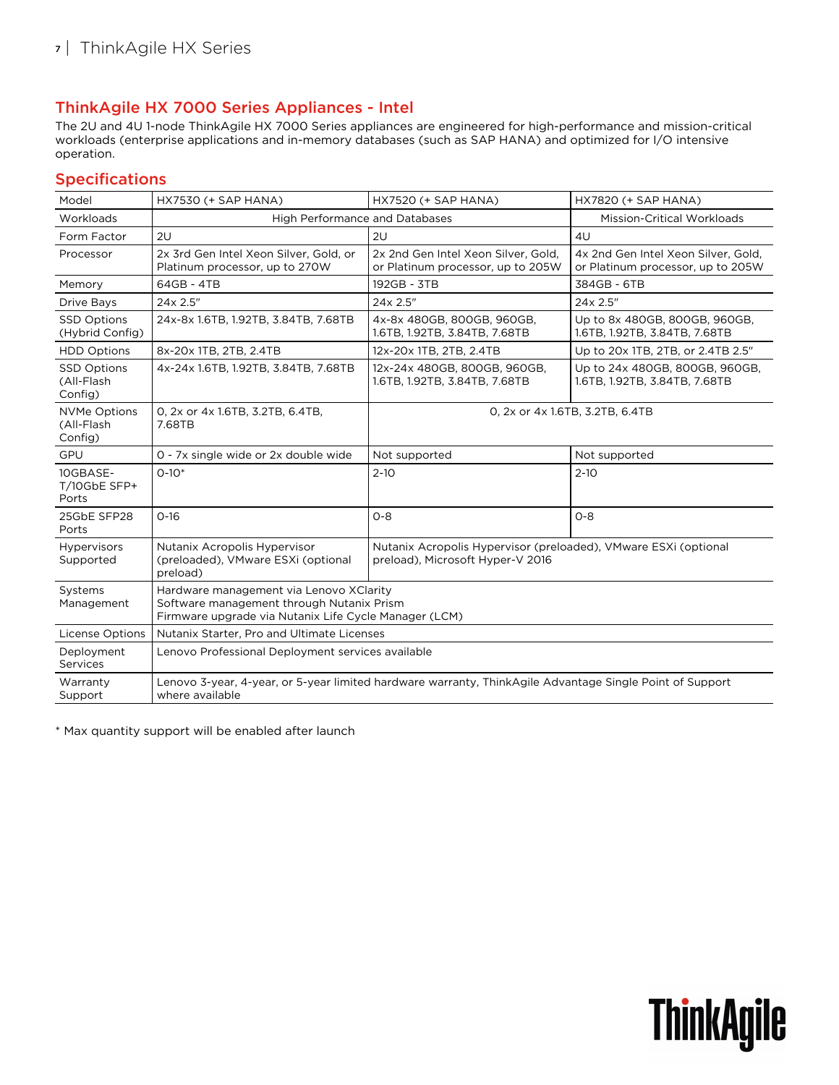## ThinkAgile HX 7000 Series Appliances - Intel

The 2U and 4U 1-node ThinkAgile HX 7000 Series appliances are engineered for high-performance and mission-critical workloads (enterprise applications and in-memory databases (such as SAP HANA) and optimized for I/O intensive operation.

#### Specifications

| Model                                        | HX7530 (+ SAP HANA)                                                                                                                           | HX7520 (+ SAP HANA)                                                                                 | HX7820 (+ SAP HANA)                                                      |
|----------------------------------------------|-----------------------------------------------------------------------------------------------------------------------------------------------|-----------------------------------------------------------------------------------------------------|--------------------------------------------------------------------------|
| Workloads                                    | <b>High Performance and Databases</b>                                                                                                         |                                                                                                     | <b>Mission-Critical Workloads</b>                                        |
| Form Factor                                  | 2U                                                                                                                                            | 2U                                                                                                  | 4U                                                                       |
| Processor                                    | 2x 3rd Gen Intel Xeon Silver, Gold, or<br>Platinum processor, up to 270W                                                                      | 2x 2nd Gen Intel Xeon Silver, Gold,<br>or Platinum processor, up to 205W                            | 4x 2nd Gen Intel Xeon Silver, Gold,<br>or Platinum processor, up to 205W |
| Memory                                       | 64GB - 4TB                                                                                                                                    | 192GB - 3TB                                                                                         | 384GB - 6TB                                                              |
| Drive Bays                                   | 24x 2.5"                                                                                                                                      | 24x 2.5"                                                                                            | 24x 2.5"                                                                 |
| <b>SSD Options</b><br>(Hybrid Config)        | 24x-8x 1.6TB, 1.92TB, 3.84TB, 7.68TB                                                                                                          | 4x-8x 480GB, 800GB, 960GB,<br>1.6TB, 1.92TB, 3.84TB, 7.68TB                                         | Up to 8x 480GB, 800GB, 960GB,<br>1.6TB, 1.92TB, 3.84TB, 7.68TB           |
| <b>HDD Options</b>                           | 8x-20x 1TB, 2TB, 2.4TB                                                                                                                        | 12x-20x 1TB, 2TB, 2.4TB                                                                             | Up to 20x 1TB, 2TB, or 2.4TB 2.5"                                        |
| <b>SSD Options</b><br>(All-Flash<br>Config)  | 4x-24x 1.6TB, 1.92TB, 3.84TB, 7.68TB                                                                                                          | 12x-24x 480GB, 800GB, 960GB,<br>1.6TB, 1.92TB, 3.84TB, 7.68TB                                       | Up to 24x 480GB, 800GB, 960GB,<br>1.6TB, 1.92TB, 3.84TB, 7.68TB          |
| <b>NVMe Options</b><br>(All-Flash<br>Config) | 0, 2x or 4x 1.6TB, 3.2TB, 6.4TB,<br>7.68TB                                                                                                    | 0, 2x or 4x 1.6TB, 3.2TB, 6.4TB                                                                     |                                                                          |
| GPU                                          | 0 - 7x single wide or 2x double wide                                                                                                          | Not supported                                                                                       | Not supported                                                            |
| 10GBASE-<br>T/10GbE SFP+<br>Ports            | $O-10*$                                                                                                                                       | $2 - 10$                                                                                            | $2 - 10$                                                                 |
| 25GbE SFP28<br>Ports                         | $O-16$                                                                                                                                        | $O - 8$                                                                                             | $O - 8$                                                                  |
| <b>Hypervisors</b><br>Supported              | Nutanix Acropolis Hypervisor<br>(preloaded), VMware ESXi (optional<br>preload)                                                                | Nutanix Acropolis Hypervisor (preloaded), VMware ESXi (optional<br>preload), Microsoft Hyper-V 2016 |                                                                          |
| Systems<br>Management                        | Hardware management via Lenovo XClarity<br>Software management through Nutanix Prism<br>Firmware upgrade via Nutanix Life Cycle Manager (LCM) |                                                                                                     |                                                                          |
| <b>License Options</b>                       | Nutanix Starter, Pro and Ultimate Licenses                                                                                                    |                                                                                                     |                                                                          |
| Deployment<br>Services                       | Lenovo Professional Deployment services available                                                                                             |                                                                                                     |                                                                          |
| Warranty<br>Support                          | Lenovo 3-year, 4-year, or 5-year limited hardware warranty, ThinkAgile Advantage Single Point of Support<br>where available                   |                                                                                                     |                                                                          |